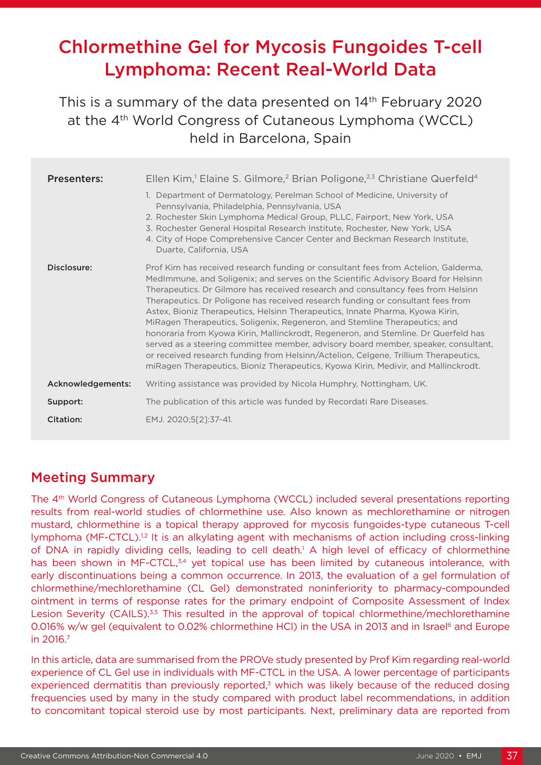# Chlormethine Gel for Mycosis Fungoides T-cell Lymphoma: Recent Real-World Data

# This is a summary of the data presented on 14<sup>th</sup> February 2020 at the 4<sup>th</sup> World Congress of Cutaneous Lymphoma (WCCL) held in Barcelona, Spain

| <b>Presenters:</b> | Ellen Kim, <sup>1</sup> Elaine S. Gilmore, <sup>2</sup> Brian Poligone, <sup>2,3</sup> Christiane Querfeld <sup>4</sup>                                                                                                                                                                                                                                                                                                                                                                                                                                                                                                                                                                                                                                                                                                                                                |
|--------------------|------------------------------------------------------------------------------------------------------------------------------------------------------------------------------------------------------------------------------------------------------------------------------------------------------------------------------------------------------------------------------------------------------------------------------------------------------------------------------------------------------------------------------------------------------------------------------------------------------------------------------------------------------------------------------------------------------------------------------------------------------------------------------------------------------------------------------------------------------------------------|
|                    | 1. Department of Dermatology, Perelman School of Medicine, University of<br>Pennsylvania, Philadelphia, Pennsylvania, USA<br>2. Rochester Skin Lymphoma Medical Group, PLLC, Fairport, New York, USA<br>3. Rochester General Hospital Research Institute, Rochester, New York, USA<br>4. City of Hope Comprehensive Cancer Center and Beckman Research Institute,<br>Duarte, California, USA                                                                                                                                                                                                                                                                                                                                                                                                                                                                           |
| Disclosure:        | Prof Kim has received research funding or consultant fees from Actelion, Galderma,<br>MedImmune, and Soligenix; and serves on the Scientific Advisory Board for Helsinn<br>Therapeutics. Dr Gilmore has received research and consultancy fees from Helsinn<br>Therapeutics. Dr Poligone has received research funding or consultant fees from<br>Astex, Bioniz Therapeutics, Helsinn Therapeutics, Innate Pharma, Kyowa Kirin,<br>MiRagen Therapeutics, Soligenix, Regeneron, and Stemline Therapeutics; and<br>honoraria from Kyowa Kirin, Mallinckrodt, Regeneron, and Stemline. Dr Querfeld has<br>served as a steering committee member, advisory board member, speaker, consultant,<br>or received research funding from Helsinn/Actelion, Celgene, Trillium Therapeutics,<br>miRagen Therapeutics, Bioniz Therapeutics, Kyowa Kirin, Medivir, and Mallinckrodt. |
| Acknowledgements:  | Writing assistance was provided by Nicola Humphry, Nottingham, UK.                                                                                                                                                                                                                                                                                                                                                                                                                                                                                                                                                                                                                                                                                                                                                                                                     |
| Support:           | The publication of this article was funded by Recordati Rare Diseases.                                                                                                                                                                                                                                                                                                                                                                                                                                                                                                                                                                                                                                                                                                                                                                                                 |
| Citation:          | EMJ. 2020;5[2]:37-41.                                                                                                                                                                                                                                                                                                                                                                                                                                                                                                                                                                                                                                                                                                                                                                                                                                                  |

### Meeting Summary

The 4th World Congress of Cutaneous Lymphoma (WCCL) included several presentations reporting results from real-world studies of chlormethine use. Also known as mechlorethamine or nitrogen mustard, chlormethine is a topical therapy approved for mycosis fungoides-type cutaneous T-cell lymphoma (MF-CTCL).<sup>1,2</sup> It is an alkylating agent with mechanisms of action including cross-linking of DNA in rapidly dividing cells, leading to cell death.<sup>1</sup> A high level of efficacy of chlormethine has been shown in MF-CTCL,<sup>3,4</sup> yet topical use has been limited by cutaneous intolerance, with early discontinuations being a common occurrence. In 2013, the evaluation of a gel formulation of chlormethine/mechlorethamine (CL Gel) demonstrated noninferiority to pharmacy-compounded ointment in terms of response rates for the primary endpoint of Composite Assessment of Index Lesion Severity (CAILS).<sup>3,5</sup> This resulted in the approval of topical chlormethine/mechlorethamine 0.016% w/w gel (equivalent to 0.02% chlormethine HCI) in the USA in 2013 and in Israel<sup>6</sup> and Europe in 2016.7

In this article, data are summarised from the PROVe study presented by Prof Kim regarding real-world experience of CL Gel use in individuals with MF-CTCL in the USA. A lower percentage of participants experienced dermatitis than previously reported, $3$  which was likely because of the reduced dosing frequencies used by many in the study compared with product label recommendations, in addition to concomitant topical steroid use by most participants. Next, preliminary data are reported from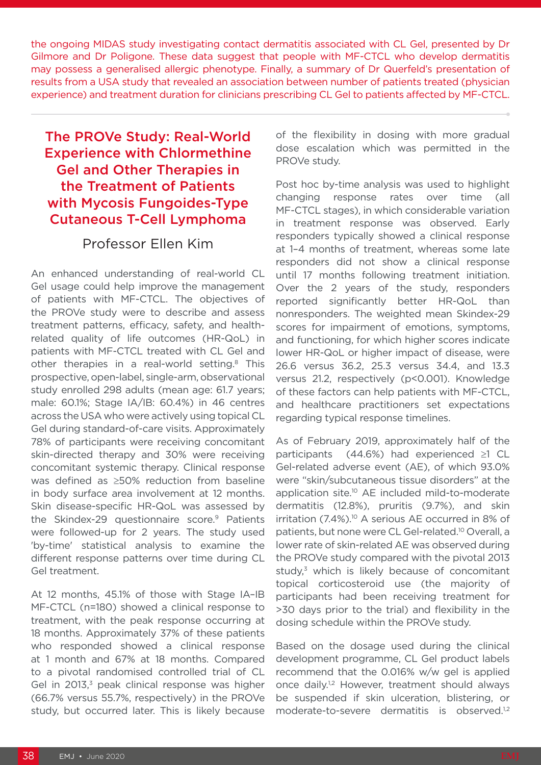the ongoing MIDAS study investigating contact dermatitis associated with CL Gel, presented by Dr Gilmore and Dr Poligone. These data suggest that people with MF-CTCL who develop dermatitis may possess a generalised allergic phenotype. Finally, a summary of Dr Querfeld's presentation of results from a USA study that revealed an association between number of patients treated (physician experience) and treatment duration for clinicians prescribing CL Gel to patients affected by MF-CTCL.

# The PROVe Study: Real-World Experience with Chlormethine Gel and Other Therapies in the Treatment of Patients with Mycosis Fungoides-Type Cutaneous T-Cell Lymphoma

#### Professor Ellen Kim

An enhanced understanding of real-world CL Gel usage could help improve the management of patients with MF-CTCL. The objectives of the PROVe study were to describe and assess treatment patterns, efficacy, safety, and healthrelated quality of life outcomes (HR-QoL) in patients with MF-CTCL treated with CL Gel and other therapies in a real-world setting.<sup>8</sup> This prospective, open-label, single-arm, observational study enrolled 298 adults (mean age: 61.7 years; male: 60.1%; Stage IA/IB: 60.4%) in 46 centres across the USA who were actively using topical CL Gel during standard-of-care visits. Approximately 78% of participants were receiving concomitant skin-directed therapy and 30% were receiving concomitant systemic therapy. Clinical response was defined as ≥50% reduction from baseline in body surface area involvement at 12 months. Skin disease-specific HR-QoL was assessed by the Skindex-29 questionnaire score.<sup>9</sup> Patients were followed-up for 2 years. The study used 'by-time' statistical analysis to examine the different response patterns over time during CL Gel treatment.

At 12 months, 45.1% of those with Stage IA–IB MF-CTCL (n=180) showed a clinical response to treatment, with the peak response occurring at 18 months. Approximately 37% of these patients who responded showed a clinical response at 1 month and 67% at 18 months. Compared to a pivotal randomised controlled trial of CL Gel in  $2013$ <sup>3</sup> peak clinical response was higher (66.7% versus 55.7%, respectively) in the PROVe study, but occurred later. This is likely because

of the flexibility in dosing with more gradual dose escalation which was permitted in the PROVe study.

Post hoc by-time analysis was used to highlight changing response rates over time (all MF-CTCL stages), in which considerable variation in treatment response was observed. Early responders typically showed a clinical response at 1–4 months of treatment, whereas some late responders did not show a clinical response until 17 months following treatment initiation. Over the 2 years of the study, responders reported significantly better HR-QoL than nonresponders. The weighted mean Skindex-29 scores for impairment of emotions, symptoms, and functioning, for which higher scores indicate lower HR-QoL or higher impact of disease, were 26.6 versus 36.2, 25.3 versus 34.4, and 13.3 versus 21.2, respectively (p<0.001). Knowledge of these factors can help patients with MF-CTCL, and healthcare practitioners set expectations regarding typical response timelines.

As of February 2019, approximately half of the participants (44.6%) had experienced ≥1 CL Gel-related adverse event (AE), of which 93.0% were "skin/subcutaneous tissue disorders" at the application site.10 AE included mild-to-moderate dermatitis (12.8%), pruritis (9.7%), and skin irritation (7.4%).<sup>10</sup> A serious AE occurred in 8% of patients, but none were CL Gel-related.10 Overall, a lower rate of skin-related AE was observed during the PROVe study compared with the pivotal 2013 study, $3$  which is likely because of concomitant topical corticosteroid use (the majority of participants had been receiving treatment for >30 days prior to the trial) and flexibility in the dosing schedule within the PROVe study.

Based on the dosage used during the clinical development programme, CL Gel product labels recommend that the 0.016% w/w gel is applied once daily.<sup>1,2</sup> However, treatment should always be suspended if skin ulceration, blistering, or moderate-to-severe dermatitis is observed.<sup>1,2</sup>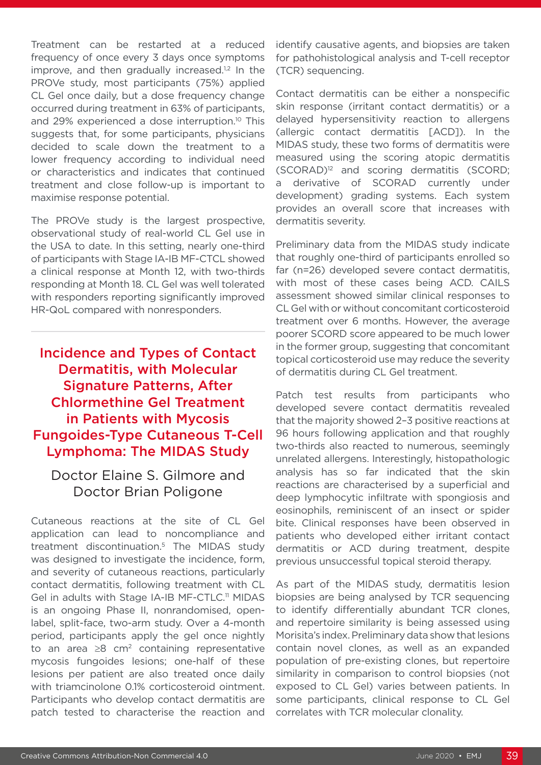Treatment can be restarted at a reduced frequency of once every 3 days once symptoms improve, and then gradually increased.<sup>1,2</sup> In the PROVe study, most participants (75%) applied CL Gel once daily, but a dose frequency change occurred during treatment in 63% of participants, and 29% experienced a dose interruption.<sup>10</sup> This suggests that, for some participants, physicians decided to scale down the treatment to a lower frequency according to individual need or characteristics and indicates that continued treatment and close follow-up is important to maximise response potential.

The PROVe study is the largest prospective, observational study of real-world CL Gel use in the USA to date. In this setting, nearly one-third of participants with Stage IA-IB MF-CTCL showed a clinical response at Month 12, with two-thirds responding at Month 18. CL Gel was well tolerated with responders reporting significantly improved HR-QoL compared with nonresponders.

# Incidence and Types of Contact Dermatitis, with Molecular Signature Patterns, After Chlormethine Gel Treatment in Patients with Mycosis Fungoides-Type Cutaneous T-Cell Lymphoma: The MIDAS Study

#### Doctor Elaine S. Gilmore and Doctor Brian Poligone

Cutaneous reactions at the site of CL Gel application can lead to noncompliance and treatment discontinuation.5 The MIDAS study was designed to investigate the incidence, form, and severity of cutaneous reactions, particularly contact dermatitis, following treatment with CL Gel in adults with Stage IA-IB MF-CTLC.<sup>11</sup> MIDAS is an ongoing Phase II, nonrandomised, openlabel, split-face, two-arm study. Over a 4-month period, participants apply the gel once nightly to an area  $\geq 8$  cm<sup>2</sup> containing representative mycosis fungoides lesions; one-half of these lesions per patient are also treated once daily with triamcinolone 0.1% corticosteroid ointment. Participants who develop contact dermatitis are patch tested to characterise the reaction and

identify causative agents, and biopsies are taken for pathohistological analysis and T-cell receptor (TCR) sequencing.

Contact dermatitis can be either a nonspecific skin response (irritant contact dermatitis) or a delayed hypersensitivity reaction to allergens (allergic contact dermatitis [ACD]). In the MIDAS study, these two forms of dermatitis were measured using the scoring atopic dermatitis (SCORAD)12 and scoring dermatitis (SCORD; a derivative of SCORAD currently under development) grading systems. Each system provides an overall score that increases with dermatitis severity.

Preliminary data from the MIDAS study indicate that roughly one-third of participants enrolled so far (n=26) developed severe contact dermatitis, with most of these cases being ACD. CAILS assessment showed similar clinical responses to CL Gel with or without concomitant corticosteroid treatment over 6 months. However, the average poorer SCORD score appeared to be much lower in the former group, suggesting that concomitant topical corticosteroid use may reduce the severity of dermatitis during CL Gel treatment.

Patch test results from participants who developed severe contact dermatitis revealed that the majority showed 2–3 positive reactions at 96 hours following application and that roughly two-thirds also reacted to numerous, seemingly unrelated allergens. Interestingly, histopathologic analysis has so far indicated that the skin reactions are characterised by a superficial and deep lymphocytic infiltrate with spongiosis and eosinophils, reminiscent of an insect or spider bite. Clinical responses have been observed in patients who developed either irritant contact dermatitis or ACD during treatment, despite previous unsuccessful topical steroid therapy.

As part of the MIDAS study, dermatitis lesion biopsies are being analysed by TCR sequencing to identify differentially abundant TCR clones, and repertoire similarity is being assessed using Morisita's index. Preliminary data show that lesions contain novel clones, as well as an expanded population of pre-existing clones, but repertoire similarity in comparison to control biopsies (not exposed to CL Gel) varies between patients. In some participants, clinical response to CL Gel correlates with TCR molecular clonality.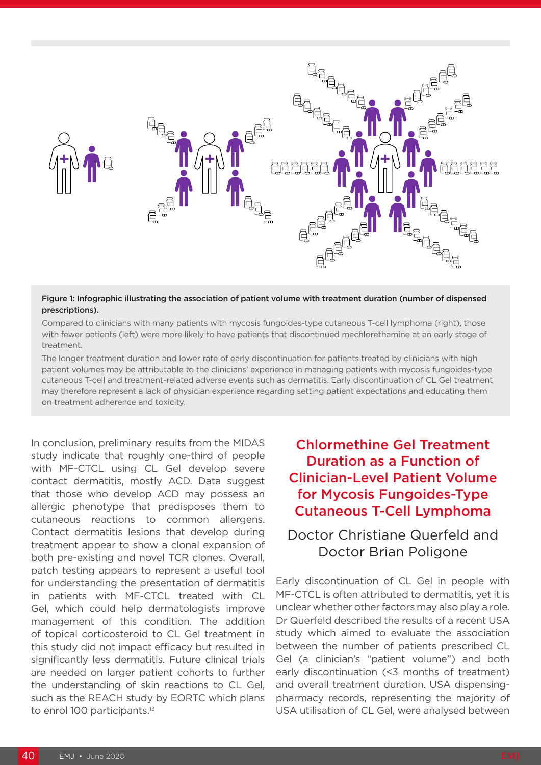

#### Figure 1: Infographic illustrating the association of patient volume with treatment duration (number of dispensed prescriptions).

Compared to clinicians with many patients with mycosis fungoides-type cutaneous T-cell lymphoma (right), those with fewer patients (left) were more likely to have patients that discontinued mechlorethamine at an early stage of treatment.

The longer treatment duration and lower rate of early discontinuation for patients treated by clinicians with high patient volumes may be attributable to the clinicians' experience in managing patients with mycosis fungoides-type cutaneous T-cell and treatment-related adverse events such as dermatitis. Early discontinuation of CL Gel treatment may therefore represent a lack of physician experience regarding setting patient expectations and educating them on treatment adherence and toxicity.

In conclusion, preliminary results from the MIDAS study indicate that roughly one-third of people with MF-CTCL using CL Gel develop severe contact dermatitis, mostly ACD. Data suggest that those who develop ACD may possess an allergic phenotype that predisposes them to cutaneous reactions to common allergens. Contact dermatitis lesions that develop during treatment appear to show a clonal expansion of both pre-existing and novel TCR clones. Overall, patch testing appears to represent a useful tool for understanding the presentation of dermatitis in patients with MF-CTCL treated with CL Gel, which could help dermatologists improve management of this condition. The addition of topical corticosteroid to CL Gel treatment in this study did not impact efficacy but resulted in significantly less dermatitis. Future clinical trials are needed on larger patient cohorts to further the understanding of skin reactions to CL Gel, such as the REACH study by EORTC which plans to enrol 100 participants.<sup>13</sup>

# Chlormethine Gel Treatment Duration as a Function of Clinician-Level Patient Volume for Mycosis Fungoides-Type Cutaneous T-Cell Lymphoma

### Doctor Christiane Querfeld and Doctor Brian Poligone

Early discontinuation of CL Gel in people with MF-CTCL is often attributed to dermatitis, yet it is unclear whether other factors may also play a role. Dr Querfeld described the results of a recent USA study which aimed to evaluate the association between the number of patients prescribed CL Gel (a clinician's "patient volume") and both early discontinuation (<3 months of treatment) and overall treatment duration. USA dispensingpharmacy records, representing the majority of USA utilisation of CL Gel, were analysed between